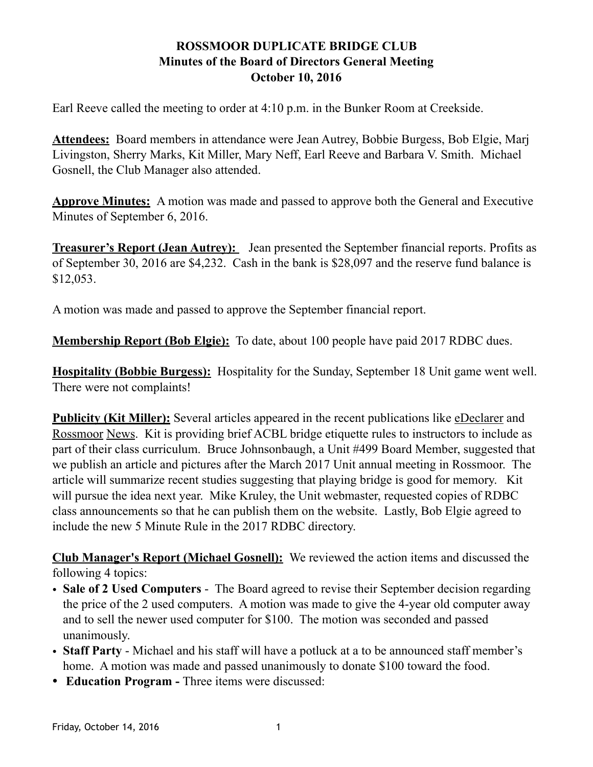## **ROSSMOOR DUPLICATE BRIDGE CLUB Minutes of the Board of Directors General Meeting October 10, 2016**

Earl Reeve called the meeting to order at 4:10 p.m. in the Bunker Room at Creekside.

**Attendees:** Board members in attendance were Jean Autrey, Bobbie Burgess, Bob Elgie, Marj Livingston, Sherry Marks, Kit Miller, Mary Neff, Earl Reeve and Barbara V. Smith. Michael Gosnell, the Club Manager also attended.

**Approve Minutes:** A motion was made and passed to approve both the General and Executive Minutes of September 6, 2016.

**Treasurer's Report (Jean Autrey):** Jean presented the September financial reports. Profits as of September 30, 2016 are \$4,232. Cash in the bank is \$28,097 and the reserve fund balance is \$12,053.

A motion was made and passed to approve the September financial report.

**Membership Report (Bob Elgie):** To date, about 100 people have paid 2017 RDBC dues.

**Hospitality (Bobbie Burgess):** Hospitality for the Sunday, September 18 Unit game went well. There were not complaints!

**Publicity (Kit Miller):** Several articles appeared in the recent publications like eDeclarer and Rossmoor News. Kit is providing brief ACBL bridge etiquette rules to instructors to include as part of their class curriculum. Bruce Johnsonbaugh, a Unit #499 Board Member, suggested that we publish an article and pictures after the March 2017 Unit annual meeting in Rossmoor. The article will summarize recent studies suggesting that playing bridge is good for memory. Kit will pursue the idea next year. Mike Kruley, the Unit webmaster, requested copies of RDBC class announcements so that he can publish them on the website. Lastly, Bob Elgie agreed to include the new 5 Minute Rule in the 2017 RDBC directory.

**Club Manager's Report (Michael Gosnell):** We reviewed the action items and discussed the following 4 topics:

- **Sale of 2 Used Computers**  The Board agreed to revise their September decision regarding the price of the 2 used computers. A motion was made to give the 4-year old computer away and to sell the newer used computer for \$100. The motion was seconded and passed unanimously.
- **Staff Party** Michael and his staff will have a potluck at a to be announced staff member's home. A motion was made and passed unanimously to donate \$100 toward the food.
- **Education Program** Three items were discussed: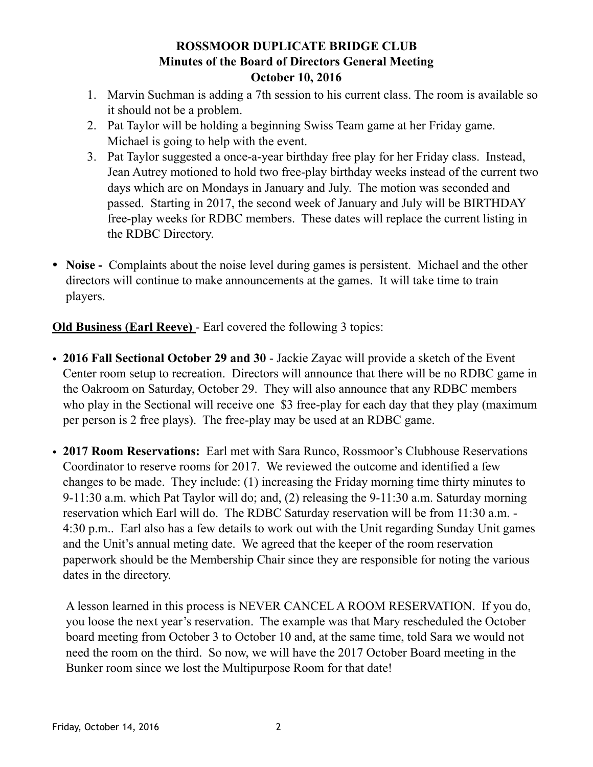## **ROSSMOOR DUPLICATE BRIDGE CLUB Minutes of the Board of Directors General Meeting October 10, 2016**

- 1. Marvin Suchman is adding a 7th session to his current class. The room is available so it should not be a problem.
- 2. Pat Taylor will be holding a beginning Swiss Team game at her Friday game. Michael is going to help with the event.
- 3. Pat Taylor suggested a once-a-year birthday free play for her Friday class. Instead, Jean Autrey motioned to hold two free-play birthday weeks instead of the current two days which are on Mondays in January and July. The motion was seconded and passed. Starting in 2017, the second week of January and July will be BIRTHDAY free-play weeks for RDBC members. These dates will replace the current listing in the RDBC Directory.
- **Noise** Complaints about the noise level during games is persistent. Michael and the other directors will continue to make announcements at the games. It will take time to train players.

**Old Business (Earl Reeve)** - Earl covered the following 3 topics:

- **2016 Fall Sectional October 29 and 30** Jackie Zayac will provide a sketch of the Event Center room setup to recreation. Directors will announce that there will be no RDBC game in the Oakroom on Saturday, October 29. They will also announce that any RDBC members who play in the Sectional will receive one \$3 free-play for each day that they play (maximum per person is 2 free plays). The free-play may be used at an RDBC game.
- **2017 Room Reservations:** Earl met with Sara Runco, Rossmoor's Clubhouse Reservations Coordinator to reserve rooms for 2017. We reviewed the outcome and identified a few changes to be made. They include: (1) increasing the Friday morning time thirty minutes to 9-11:30 a.m. which Pat Taylor will do; and, (2) releasing the 9-11:30 a.m. Saturday morning reservation which Earl will do. The RDBC Saturday reservation will be from 11:30 a.m. - 4:30 p.m.. Earl also has a few details to work out with the Unit regarding Sunday Unit games and the Unit's annual meting date. We agreed that the keeper of the room reservation paperwork should be the Membership Chair since they are responsible for noting the various dates in the directory.

A lesson learned in this process is NEVER CANCEL A ROOM RESERVATION. If you do, you loose the next year's reservation. The example was that Mary rescheduled the October board meeting from October 3 to October 10 and, at the same time, told Sara we would not need the room on the third. So now, we will have the 2017 October Board meeting in the Bunker room since we lost the Multipurpose Room for that date!